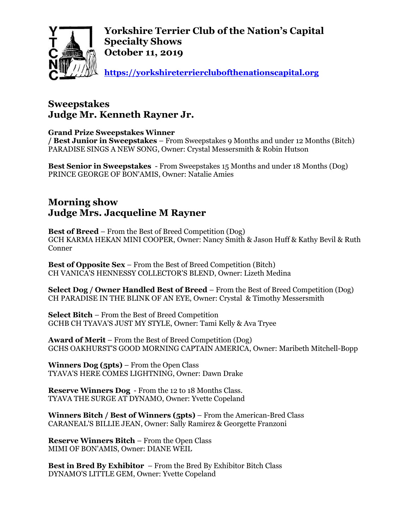

**Yorkshire Terrier Club of the Nation's Capital Specialty Shows October 11, 2019**

**[https://yorkshireterrierclubofthenationscapital.org](https://yorkshireterrierclubofthenationscapital.org/)**

## **Sweepstakes Judge Mr. Kenneth Rayner Jr.**

## **Grand Prize Sweepstakes Winner**

**/ Best Junior in Sweepstakes** – From Sweepstakes 9 Months and under 12 Months (Bitch) PARADISE SINGS A NEW SONG, Owner: Crystal Messersmith & Robin Hutson

**Best Senior in Sweepstakes** - From Sweepstakes 15 Months and under 18 Months (Dog) PRINCE GEORGE OF BON'AMIS, Owner: Natalie Amies

## **Morning show Judge Mrs. Jacqueline M Rayner**

**Best of Breed** – From the Best of Breed Competition (Dog) GCH KARMA HEKAN MINI COOPER, Owner: Nancy Smith & Jason Huff & Kathy Bevil & Ruth Conner

**Best of Opposite Sex** – From the Best of Breed Competition (Bitch) CH VANICA'S HENNESSY COLLECTOR'S BLEND, Owner: Lizeth Medina

**Select Dog / Owner Handled Best of Breed** – From the Best of Breed Competition (Dog) CH PARADISE IN THE BLINK OF AN EYE, Owner: Crystal & Timothy Messersmith

**Select Bitch** – From the Best of Breed Competition GCHB CH TYAVA'S JUST MY STYLE, Owner: Tami Kelly & Ava Tryee

**Award of Merit** – From the Best of Breed Competition (Dog) GCHS OAKHURST'S GOOD MORNING CAPTAIN AMERICA, Owner: Maribeth Mitchell-Bopp

**Winners Dog (5pts)** – From the Open Class TYAVA'S HERE COMES LIGHTNING, Owner: Dawn Drake

**Reserve Winners Dog** - From the 12 to 18 Months Class. TYAVA THE SURGE AT DYNAMO, Owner: Yvette Copeland

**Winners Bitch / Best of Winners (5pts)** – From the American-Bred Class CARANEAL'S BILLIE JEAN, Owner: Sally Ramirez & Georgette Franzoni

**Reserve Winners Bitch** – From the Open Class MIMI OF BON'AMIS, Owner: DIANE WEIL

**Best in Bred By Exhibitor** – From the Bred By Exhibitor Bitch Class DYNAMO'S LITTLE GEM, Owner: Yvette Copeland